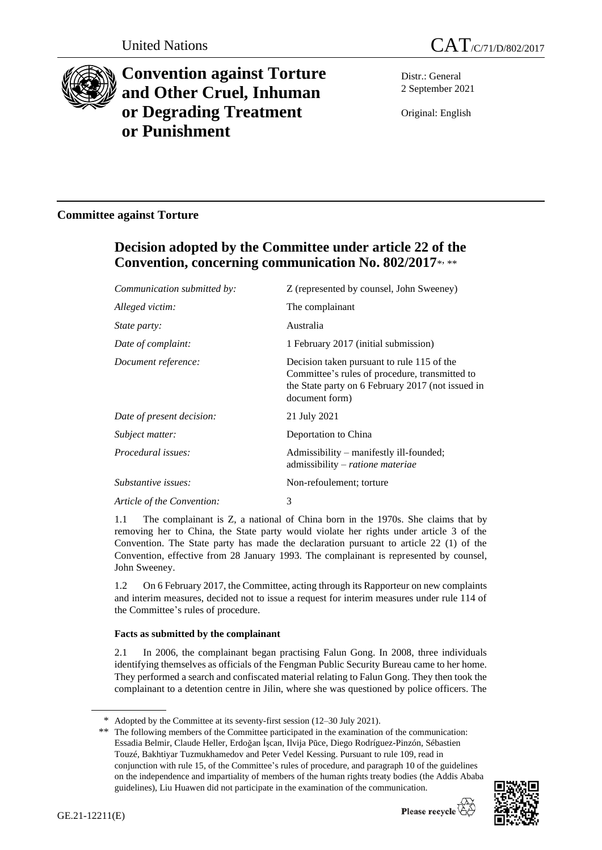



# **Convention against Torture and Other Cruel, Inhuman or Degrading Treatment or Punishment**

Distr.: General 2 September 2021

Original: English

# **Committee against Torture**

# **Decision adopted by the Committee under article 22 of the Convention, concerning communication No. 802/2017**\* , \*\*

| Communication submitted by: | Z (represented by counsel, John Sweeney)                                                                                                                            |
|-----------------------------|---------------------------------------------------------------------------------------------------------------------------------------------------------------------|
| Alleged victim:             | The complainant                                                                                                                                                     |
| <i>State party:</i>         | Australia                                                                                                                                                           |
| Date of complaint:          | 1 February 2017 (initial submission)                                                                                                                                |
| Document reference:         | Decision taken pursuant to rule 115 of the<br>Committee's rules of procedure, transmitted to<br>the State party on 6 February 2017 (not issued in<br>document form) |
| Date of present decision:   | 21 July 2021                                                                                                                                                        |
| Subject matter:             | Deportation to China                                                                                                                                                |
| Procedural issues:          | Admissibility – manifestly ill-founded;<br>admissibility - ratione materiae                                                                                         |
| Substantive issues:         | Non-refoulement; torture                                                                                                                                            |
| Article of the Convention:  | 3                                                                                                                                                                   |
|                             |                                                                                                                                                                     |

1.1 The complainant is Z, a national of China born in the 1970s. She claims that by removing her to China, the State party would violate her rights under article 3 of the Convention. The State party has made the declaration pursuant to article 22 (1) of the Convention, effective from 28 January 1993. The complainant is represented by counsel, John Sweeney.

1.2 On 6 February 2017, the Committee, acting through its Rapporteur on new complaints and interim measures, decided not to issue a request for interim measures under rule 114 of the Committee's rules of procedure.

# **Facts as submitted by the complainant**

2.1 In 2006, the complainant began practising Falun Gong. In 2008, three individuals identifying themselves as officials of the Fengman Public Security Bureau came to her home. They performed a search and confiscated material relating to Falun Gong. They then took the complainant to a detention centre in Jilin, where she was questioned by police officers. The

<sup>\*\*</sup> The following members of the Committee participated in the examination of the communication: Essadia Belmir, Claude Heller, Erdoğan İşcan, Ilvija Pūce, Diego Rodríguez-Pinzón, Sébastien Touzé, Bakhtiyar Tuzmukhamedov and Peter Vedel Kessing. Pursuant to rule 109, read in conjunction with rule 15, of the Committee's rules of procedure, and paragraph 10 of the guidelines on the independence and impartiality of members of the human rights treaty bodies (the Addis Ababa guidelines), Liu Huawen did not participate in the examination of the communication.



<sup>\*</sup> Adopted by the Committee at its seventy-first session (12–30 July 2021).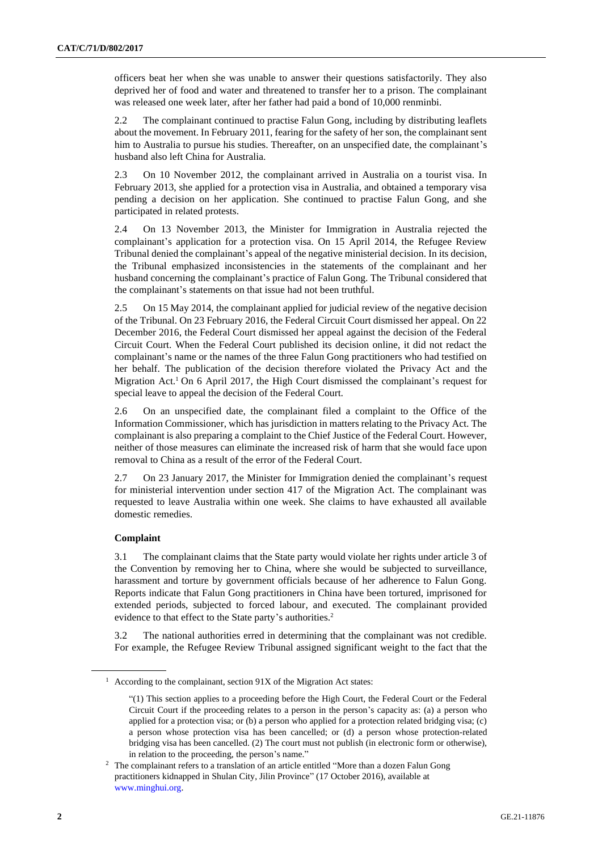officers beat her when she was unable to answer their questions satisfactorily. They also deprived her of food and water and threatened to transfer her to a prison. The complainant was released one week later, after her father had paid a bond of 10,000 renminbi.

2.2 The complainant continued to practise Falun Gong, including by distributing leaflets about the movement. In February 2011, fearing for the safety of her son, the complainant sent him to Australia to pursue his studies. Thereafter, on an unspecified date, the complainant's husband also left China for Australia.

2.3 On 10 November 2012, the complainant arrived in Australia on a tourist visa. In February 2013, she applied for a protection visa in Australia, and obtained a temporary visa pending a decision on her application. She continued to practise Falun Gong, and she participated in related protests.

2.4 On 13 November 2013, the Minister for Immigration in Australia rejected the complainant's application for a protection visa. On 15 April 2014, the Refugee Review Tribunal denied the complainant's appeal of the negative ministerial decision. In its decision, the Tribunal emphasized inconsistencies in the statements of the complainant and her husband concerning the complainant's practice of Falun Gong. The Tribunal considered that the complainant's statements on that issue had not been truthful.

2.5 On 15 May 2014, the complainant applied for judicial review of the negative decision of the Tribunal. On 23 February 2016, the Federal Circuit Court dismissed her appeal. On 22 December 2016, the Federal Court dismissed her appeal against the decision of the Federal Circuit Court. When the Federal Court published its decision online, it did not redact the complainant's name or the names of the three Falun Gong practitioners who had testified on her behalf. The publication of the decision therefore violated the Privacy Act and the Migration Act.<sup>1</sup> On 6 April 2017, the High Court dismissed the complainant's request for special leave to appeal the decision of the Federal Court.

2.6 On an unspecified date, the complainant filed a complaint to the Office of the Information Commissioner, which has jurisdiction in matters relating to the Privacy Act. The complainant is also preparing a complaint to the Chief Justice of the Federal Court. However, neither of those measures can eliminate the increased risk of harm that she would face upon removal to China as a result of the error of the Federal Court.

2.7 On 23 January 2017, the Minister for Immigration denied the complainant's request for ministerial intervention under section 417 of the Migration Act. The complainant was requested to leave Australia within one week. She claims to have exhausted all available domestic remedies.

## **Complaint**

3.1 The complainant claims that the State party would violate her rights under article 3 of the Convention by removing her to China, where she would be subjected to surveillance, harassment and torture by government officials because of her adherence to Falun Gong. Reports indicate that Falun Gong practitioners in China have been tortured, imprisoned for extended periods, subjected to forced labour, and executed. The complainant provided evidence to that effect to the State party's authorities.<sup>2</sup>

3.2 The national authorities erred in determining that the complainant was not credible. For example, the Refugee Review Tribunal assigned significant weight to the fact that the

<sup>&</sup>lt;sup>1</sup> According to the complainant, section  $91X$  of the Migration Act states:

<sup>&</sup>quot;(1) This section applies to a proceeding before the High Court, the Federal Court or the Federal Circuit Court if the proceeding relates to a person in the person's capacity as: (a) a person who applied for a protection visa; or (b) a person who applied for a protection related bridging visa; (c) a person whose protection visa has been cancelled; or (d) a person whose protection-related bridging visa has been cancelled. (2) The court must not publish (in electronic form or otherwise), in relation to the proceeding, the person's name."

<sup>&</sup>lt;sup>2</sup> The complainant refers to a translation of an article entitled "More than a dozen Falun Gong" practitioners kidnapped in Shulan City, Jilin Province" (17 October 2016), available at [www.minghui.org.](http://www.minghui.org/)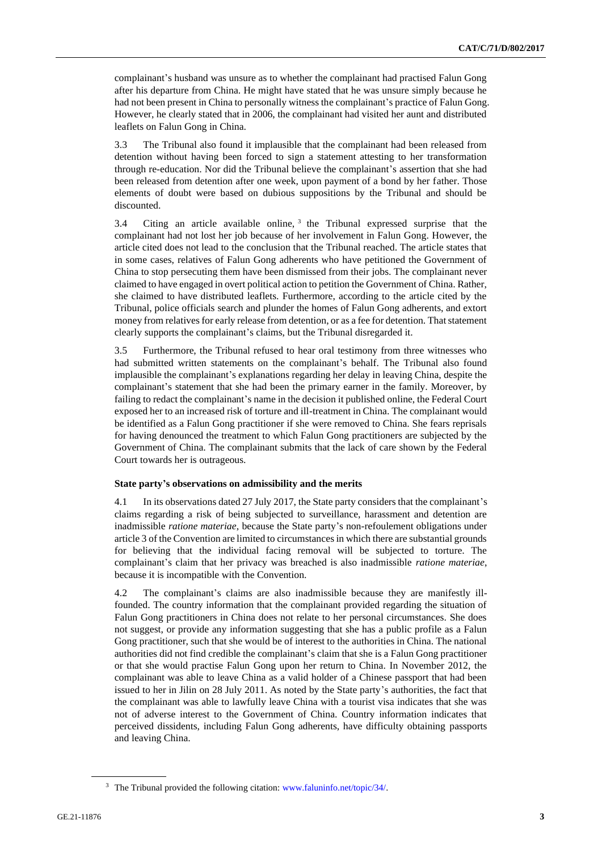complainant's husband was unsure as to whether the complainant had practised Falun Gong after his departure from China. He might have stated that he was unsure simply because he had not been present in China to personally witness the complainant's practice of Falun Gong. However, he clearly stated that in 2006, the complainant had visited her aunt and distributed leaflets on Falun Gong in China.

3.3 The Tribunal also found it implausible that the complainant had been released from detention without having been forced to sign a statement attesting to her transformation through re-education. Nor did the Tribunal believe the complainant's assertion that she had been released from detention after one week, upon payment of a bond by her father. Those elements of doubt were based on dubious suppositions by the Tribunal and should be discounted.

3.4 Citing an article available online,  $3$  the Tribunal expressed surprise that the complainant had not lost her job because of her involvement in Falun Gong. However, the article cited does not lead to the conclusion that the Tribunal reached. The article states that in some cases, relatives of Falun Gong adherents who have petitioned the Government of China to stop persecuting them have been dismissed from their jobs. The complainant never claimed to have engaged in overt political action to petition the Government of China. Rather, she claimed to have distributed leaflets. Furthermore, according to the article cited by the Tribunal, police officials search and plunder the homes of Falun Gong adherents, and extort money from relatives for early release from detention, or as a fee for detention. That statement clearly supports the complainant's claims, but the Tribunal disregarded it.

3.5 Furthermore, the Tribunal refused to hear oral testimony from three witnesses who had submitted written statements on the complainant's behalf. The Tribunal also found implausible the complainant's explanations regarding her delay in leaving China, despite the complainant's statement that she had been the primary earner in the family. Moreover, by failing to redact the complainant's name in the decision it published online, the Federal Court exposed her to an increased risk of torture and ill-treatment in China. The complainant would be identified as a Falun Gong practitioner if she were removed to China. She fears reprisals for having denounced the treatment to which Falun Gong practitioners are subjected by the Government of China. The complainant submits that the lack of care shown by the Federal Court towards her is outrageous.

#### **State party's observations on admissibility and the merits**

4.1 In its observations dated 27 July 2017, the State party considers that the complainant's claims regarding a risk of being subjected to surveillance, harassment and detention are inadmissible *ratione materiae*, because the State party's non-refoulement obligations under article 3 of the Convention are limited to circumstances in which there are substantial grounds for believing that the individual facing removal will be subjected to torture. The complainant's claim that her privacy was breached is also inadmissible *ratione materiae*, because it is incompatible with the Convention.

4.2 The complainant's claims are also inadmissible because they are manifestly illfounded. The country information that the complainant provided regarding the situation of Falun Gong practitioners in China does not relate to her personal circumstances. She does not suggest, or provide any information suggesting that she has a public profile as a Falun Gong practitioner, such that she would be of interest to the authorities in China. The national authorities did not find credible the complainant's claim that she is a Falun Gong practitioner or that she would practise Falun Gong upon her return to China. In November 2012, the complainant was able to leave China as a valid holder of a Chinese passport that had been issued to her in Jilin on 28 July 2011. As noted by the State party's authorities, the fact that the complainant was able to lawfully leave China with a tourist visa indicates that she was not of adverse interest to the Government of China. Country information indicates that perceived dissidents, including Falun Gong adherents, have difficulty obtaining passports and leaving China.

<sup>&</sup>lt;sup>3</sup> The Tribunal provided the following citation: [www.faluninfo.net/topic/34/.](http://www.faluninfo.net/topic/34/)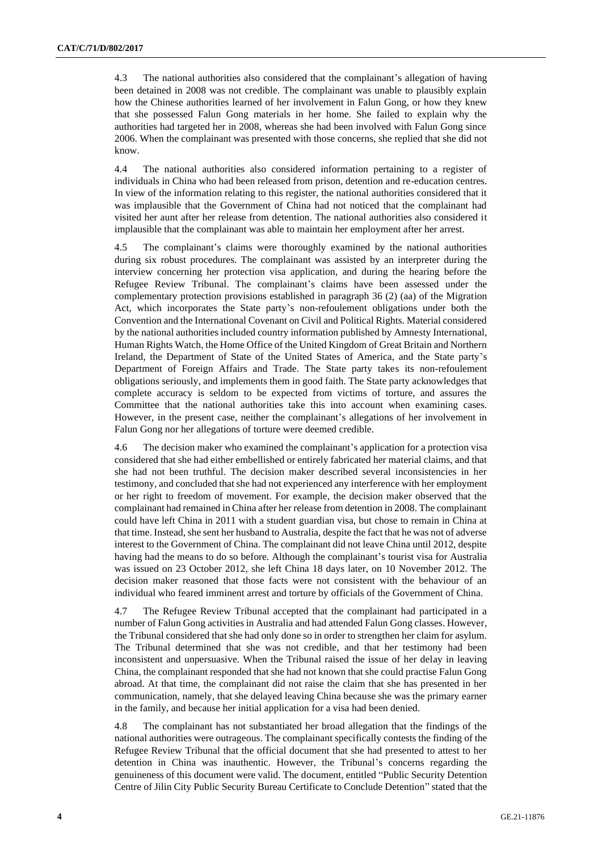4.3 The national authorities also considered that the complainant's allegation of having been detained in 2008 was not credible. The complainant was unable to plausibly explain how the Chinese authorities learned of her involvement in Falun Gong, or how they knew that she possessed Falun Gong materials in her home. She failed to explain why the authorities had targeted her in 2008, whereas she had been involved with Falun Gong since 2006. When the complainant was presented with those concerns, she replied that she did not know.

4.4 The national authorities also considered information pertaining to a register of individuals in China who had been released from prison, detention and re-education centres. In view of the information relating to this register, the national authorities considered that it was implausible that the Government of China had not noticed that the complainant had visited her aunt after her release from detention. The national authorities also considered it implausible that the complainant was able to maintain her employment after her arrest.

4.5 The complainant's claims were thoroughly examined by the national authorities during six robust procedures. The complainant was assisted by an interpreter during the interview concerning her protection visa application, and during the hearing before the Refugee Review Tribunal. The complainant's claims have been assessed under the complementary protection provisions established in paragraph 36 (2) (aa) of the Migration Act, which incorporates the State party's non-refoulement obligations under both the Convention and the International Covenant on Civil and Political Rights. Material considered by the national authorities included country information published by Amnesty International, Human Rights Watch, the Home Office of the United Kingdom of Great Britain and Northern Ireland, the Department of State of the United States of America, and the State party's Department of Foreign Affairs and Trade. The State party takes its non-refoulement obligations seriously, and implements them in good faith. The State party acknowledges that complete accuracy is seldom to be expected from victims of torture, and assures the Committee that the national authorities take this into account when examining cases. However, in the present case, neither the complainant's allegations of her involvement in Falun Gong nor her allegations of torture were deemed credible.

4.6 The decision maker who examined the complainant's application for a protection visa considered that she had either embellished or entirely fabricated her material claims, and that she had not been truthful. The decision maker described several inconsistencies in her testimony, and concluded that she had not experienced any interference with her employment or her right to freedom of movement. For example, the decision maker observed that the complainant had remained in China after her release from detention in 2008. The complainant could have left China in 2011 with a student guardian visa, but chose to remain in China at that time. Instead, she sent her husband to Australia, despite the fact that he was not of adverse interest to the Government of China. The complainant did not leave China until 2012, despite having had the means to do so before. Although the complainant's tourist visa for Australia was issued on 23 October 2012, she left China 18 days later, on 10 November 2012. The decision maker reasoned that those facts were not consistent with the behaviour of an individual who feared imminent arrest and torture by officials of the Government of China.

4.7 The Refugee Review Tribunal accepted that the complainant had participated in a number of Falun Gong activities in Australia and had attended Falun Gong classes. However, the Tribunal considered that she had only done so in order to strengthen her claim for asylum. The Tribunal determined that she was not credible, and that her testimony had been inconsistent and unpersuasive. When the Tribunal raised the issue of her delay in leaving China, the complainant responded that she had not known that she could practise Falun Gong abroad. At that time, the complainant did not raise the claim that she has presented in her communication, namely, that she delayed leaving China because she was the primary earner in the family, and because her initial application for a visa had been denied.

4.8 The complainant has not substantiated her broad allegation that the findings of the national authorities were outrageous. The complainant specifically contests the finding of the Refugee Review Tribunal that the official document that she had presented to attest to her detention in China was inauthentic. However, the Tribunal's concerns regarding the genuineness of this document were valid. The document, entitled "Public Security Detention Centre of Jilin City Public Security Bureau Certificate to Conclude Detention" stated that the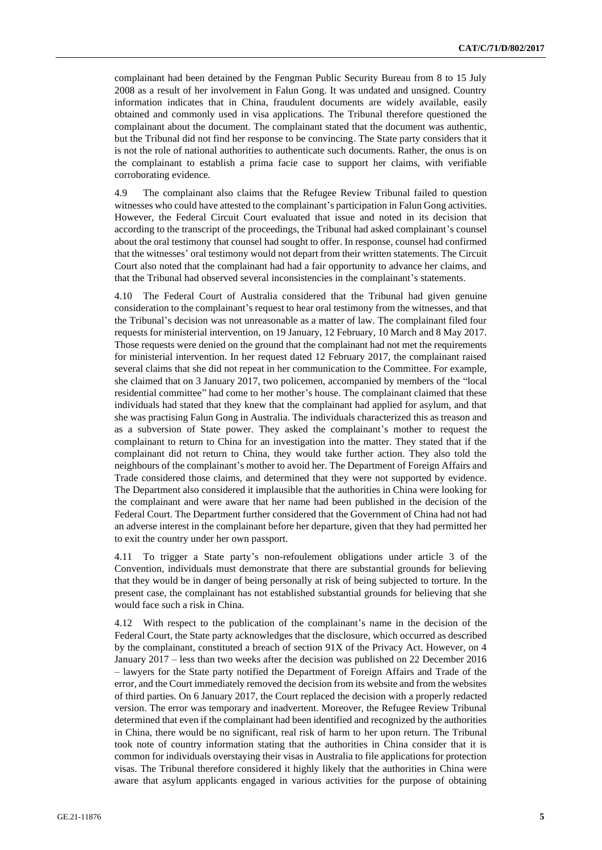complainant had been detained by the Fengman Public Security Bureau from 8 to 15 July 2008 as a result of her involvement in Falun Gong. It was undated and unsigned. Country information indicates that in China, fraudulent documents are widely available, easily obtained and commonly used in visa applications. The Tribunal therefore questioned the complainant about the document. The complainant stated that the document was authentic, but the Tribunal did not find her response to be convincing. The State party considers that it is not the role of national authorities to authenticate such documents. Rather, the onus is on the complainant to establish a prima facie case to support her claims, with verifiable corroborating evidence.

4.9 The complainant also claims that the Refugee Review Tribunal failed to question witnesses who could have attested to the complainant's participation in Falun Gong activities. However, the Federal Circuit Court evaluated that issue and noted in its decision that according to the transcript of the proceedings, the Tribunal had asked complainant's counsel about the oral testimony that counsel had sought to offer. In response, counsel had confirmed that the witnesses' oral testimony would not depart from their written statements. The Circuit Court also noted that the complainant had had a fair opportunity to advance her claims, and that the Tribunal had observed several inconsistencies in the complainant's statements.

4.10 The Federal Court of Australia considered that the Tribunal had given genuine consideration to the complainant's request to hear oral testimony from the witnesses, and that the Tribunal's decision was not unreasonable as a matter of law. The complainant filed four requests for ministerial intervention, on 19 January, 12 February, 10 March and 8 May 2017. Those requests were denied on the ground that the complainant had not met the requirements for ministerial intervention. In her request dated 12 February 2017, the complainant raised several claims that she did not repeat in her communication to the Committee. For example, she claimed that on 3 January 2017, two policemen, accompanied by members of the "local residential committee" had come to her mother's house. The complainant claimed that these individuals had stated that they knew that the complainant had applied for asylum, and that she was practising Falun Gong in Australia. The individuals characterized this as treason and as a subversion of State power. They asked the complainant's mother to request the complainant to return to China for an investigation into the matter. They stated that if the complainant did not return to China, they would take further action. They also told the neighbours of the complainant's mother to avoid her. The Department of Foreign Affairs and Trade considered those claims, and determined that they were not supported by evidence. The Department also considered it implausible that the authorities in China were looking for the complainant and were aware that her name had been published in the decision of the Federal Court. The Department further considered that the Government of China had not had an adverse interest in the complainant before her departure, given that they had permitted her to exit the country under her own passport.

4.11 To trigger a State party's non-refoulement obligations under article 3 of the Convention, individuals must demonstrate that there are substantial grounds for believing that they would be in danger of being personally at risk of being subjected to torture. In the present case, the complainant has not established substantial grounds for believing that she would face such a risk in China.

4.12 With respect to the publication of the complainant's name in the decision of the Federal Court, the State party acknowledges that the disclosure, which occurred as described by the complainant, constituted a breach of section 91X of the Privacy Act. However, on 4 January 2017 – less than two weeks after the decision was published on 22 December 2016 – lawyers for the State party notified the Department of Foreign Affairs and Trade of the error, and the Court immediately removed the decision from its website and from the websites of third parties. On 6 January 2017, the Court replaced the decision with a properly redacted version. The error was temporary and inadvertent. Moreover, the Refugee Review Tribunal determined that even if the complainant had been identified and recognized by the authorities in China, there would be no significant, real risk of harm to her upon return. The Tribunal took note of country information stating that the authorities in China consider that it is common for individuals overstaying their visas in Australia to file applications for protection visas. The Tribunal therefore considered it highly likely that the authorities in China were aware that asylum applicants engaged in various activities for the purpose of obtaining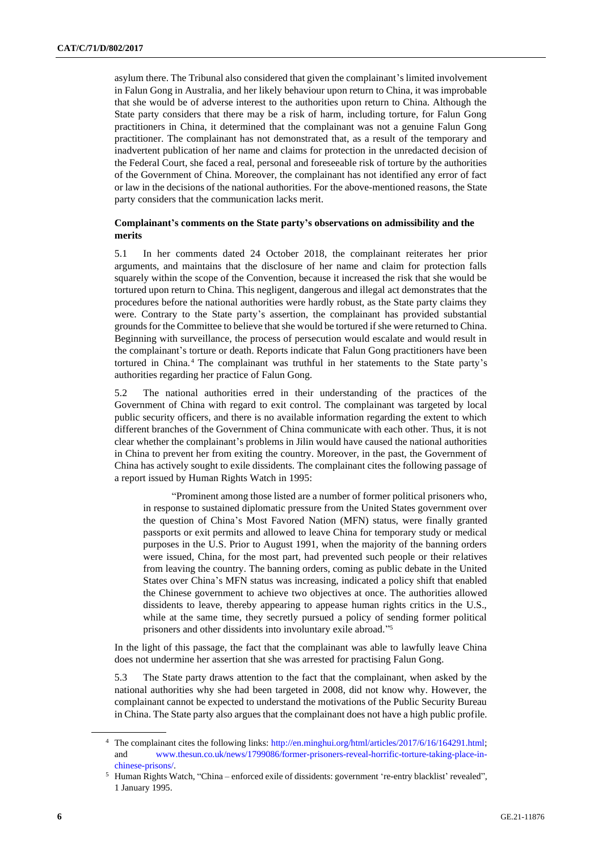asylum there. The Tribunal also considered that given the complainant's limited involvement in Falun Gong in Australia, and her likely behaviour upon return to China, it was improbable that she would be of adverse interest to the authorities upon return to China. Although the State party considers that there may be a risk of harm, including torture, for Falun Gong practitioners in China, it determined that the complainant was not a genuine Falun Gong practitioner. The complainant has not demonstrated that, as a result of the temporary and inadvertent publication of her name and claims for protection in the unredacted decision of the Federal Court, she faced a real, personal and foreseeable risk of torture by the authorities of the Government of China. Moreover, the complainant has not identified any error of fact or law in the decisions of the national authorities. For the above-mentioned reasons, the State party considers that the communication lacks merit.

# **Complainant's comments on the State party's observations on admissibility and the merits**

5.1 In her comments dated 24 October 2018, the complainant reiterates her prior arguments, and maintains that the disclosure of her name and claim for protection falls squarely within the scope of the Convention, because it increased the risk that she would be tortured upon return to China. This negligent, dangerous and illegal act demonstrates that the procedures before the national authorities were hardly robust, as the State party claims they were. Contrary to the State party's assertion, the complainant has provided substantial grounds for the Committee to believe that she would be tortured if she were returned to China. Beginning with surveillance, the process of persecution would escalate and would result in the complainant's torture or death. Reports indicate that Falun Gong practitioners have been tortured in China. <sup>4</sup> The complainant was truthful in her statements to the State party's authorities regarding her practice of Falun Gong.

5.2 The national authorities erred in their understanding of the practices of the Government of China with regard to exit control. The complainant was targeted by local public security officers, and there is no available information regarding the extent to which different branches of the Government of China communicate with each other. Thus, it is not clear whether the complainant's problems in Jilin would have caused the national authorities in China to prevent her from exiting the country. Moreover, in the past, the Government of China has actively sought to exile dissidents. The complainant cites the following passage of a report issued by Human Rights Watch in 1995:

"Prominent among those listed are a number of former political prisoners who, in response to sustained diplomatic pressure from the United States government over the question of China's Most Favored Nation (MFN) status, were finally granted passports or exit permits and allowed to leave China for temporary study or medical purposes in the U.S. Prior to August 1991, when the majority of the banning orders were issued, China, for the most part, had prevented such people or their relatives from leaving the country. The banning orders, coming as public debate in the United States over China's MFN status was increasing, indicated a policy shift that enabled the Chinese government to achieve two objectives at once. The authorities allowed dissidents to leave, thereby appearing to appease human rights critics in the U.S., while at the same time, they secretly pursued a policy of sending former political prisoners and other dissidents into involuntary exile abroad." 5

In the light of this passage, the fact that the complainant was able to lawfully leave China does not undermine her assertion that she was arrested for practising Falun Gong.

5.3 The State party draws attention to the fact that the complainant, when asked by the national authorities why she had been targeted in 2008, did not know why. However, the complainant cannot be expected to understand the motivations of the Public Security Bureau in China. The State party also argues that the complainant does not have a high public profile.

<sup>4</sup> The complainant cites the following links: [http://en.minghui.org/html/articles/2017/6/16/164291.html;](http://en.minghui.org/html/articles/2017/6/16/164291.html) and [www.thesun.co.uk/news/1799086/former-prisoners-reveal-horrific-torture-taking-place-in](https://www.thesun.co.uk/news/1799086/former-prisoners-reveal-horrific-torture-taking-place-in-chinese-prisons/)[chinese-prisons/.](https://www.thesun.co.uk/news/1799086/former-prisoners-reveal-horrific-torture-taking-place-in-chinese-prisons/)

<sup>5</sup> Human Rights Watch, "China – enforced exile of dissidents: government 're-entry blacklist' revealed", 1 January 1995.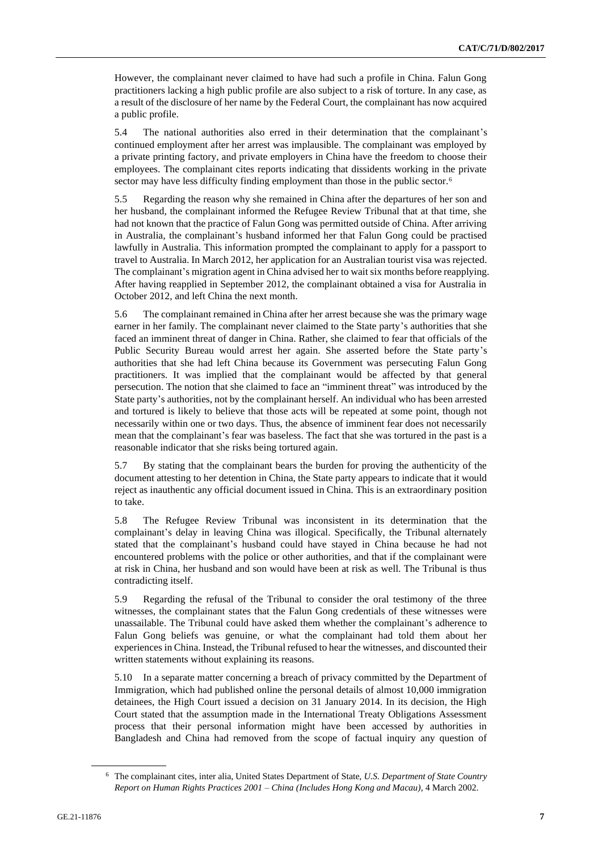However, the complainant never claimed to have had such a profile in China. Falun Gong practitioners lacking a high public profile are also subject to a risk of torture. In any case, as a result of the disclosure of her name by the Federal Court, the complainant has now acquired a public profile.

5.4 The national authorities also erred in their determination that the complainant's continued employment after her arrest was implausible. The complainant was employed by a private printing factory, and private employers in China have the freedom to choose their employees. The complainant cites reports indicating that dissidents working in the private sector may have less difficulty finding employment than those in the public sector.<sup>6</sup>

5.5 Regarding the reason why she remained in China after the departures of her son and her husband, the complainant informed the Refugee Review Tribunal that at that time, she had not known that the practice of Falun Gong was permitted outside of China. After arriving in Australia, the complainant's husband informed her that Falun Gong could be practised lawfully in Australia. This information prompted the complainant to apply for a passport to travel to Australia. In March 2012, her application for an Australian tourist visa was rejected. The complainant's migration agent in China advised her to wait six months before reapplying. After having reapplied in September 2012, the complainant obtained a visa for Australia in October 2012, and left China the next month.

5.6 The complainant remained in China after her arrest because she was the primary wage earner in her family. The complainant never claimed to the State party's authorities that she faced an imminent threat of danger in China. Rather, she claimed to fear that officials of the Public Security Bureau would arrest her again. She asserted before the State party's authorities that she had left China because its Government was persecuting Falun Gong practitioners. It was implied that the complainant would be affected by that general persecution. The notion that she claimed to face an "imminent threat" was introduced by the State party's authorities, not by the complainant herself. An individual who has been arrested and tortured is likely to believe that those acts will be repeated at some point, though not necessarily within one or two days. Thus, the absence of imminent fear does not necessarily mean that the complainant's fear was baseless. The fact that she was tortured in the past is a reasonable indicator that she risks being tortured again.

5.7 By stating that the complainant bears the burden for proving the authenticity of the document attesting to her detention in China, the State party appears to indicate that it would reject as inauthentic any official document issued in China. This is an extraordinary position to take.

5.8 The Refugee Review Tribunal was inconsistent in its determination that the complainant's delay in leaving China was illogical. Specifically, the Tribunal alternately stated that the complainant's husband could have stayed in China because he had not encountered problems with the police or other authorities, and that if the complainant were at risk in China, her husband and son would have been at risk as well. The Tribunal is thus contradicting itself.

5.9 Regarding the refusal of the Tribunal to consider the oral testimony of the three witnesses, the complainant states that the Falun Gong credentials of these witnesses were unassailable. The Tribunal could have asked them whether the complainant's adherence to Falun Gong beliefs was genuine, or what the complainant had told them about her experiences in China. Instead, the Tribunal refused to hear the witnesses, and discounted their written statements without explaining its reasons.

5.10 In a separate matter concerning a breach of privacy committed by the Department of Immigration, which had published online the personal details of almost 10,000 immigration detainees, the High Court issued a decision on 31 January 2014. In its decision, the High Court stated that the assumption made in the International Treaty Obligations Assessment process that their personal information might have been accessed by authorities in Bangladesh and China had removed from the scope of factual inquiry any question of

<sup>6</sup> The complainant cites, inter alia, United States Department of State, *U.S. Department of State Country Report on Human Rights Practices 2001 – China (Includes Hong Kong and Macau)*, 4 March 2002.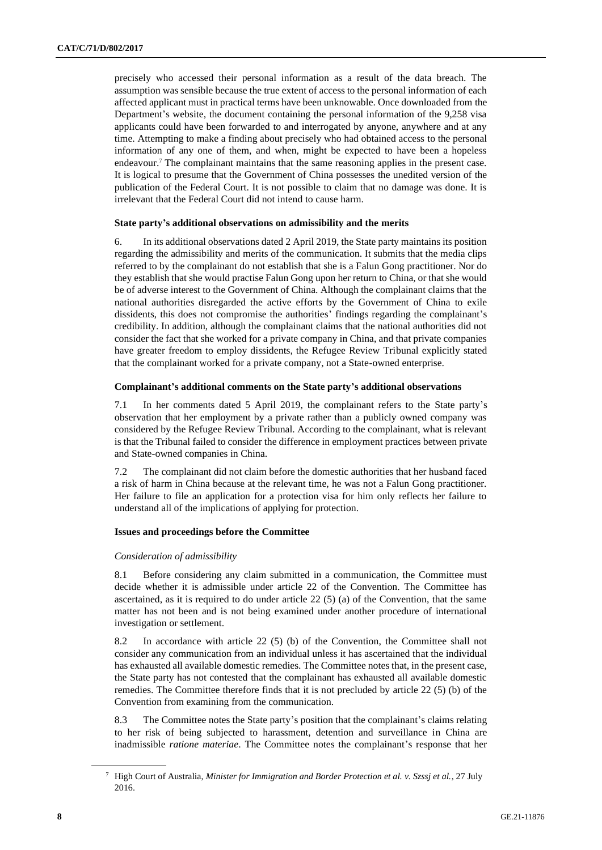precisely who accessed their personal information as a result of the data breach. The assumption was sensible because the true extent of access to the personal information of each affected applicant must in practical terms have been unknowable. Once downloaded from the Department's website, the document containing the personal information of the 9,258 visa applicants could have been forwarded to and interrogated by anyone, anywhere and at any time. Attempting to make a finding about precisely who had obtained access to the personal information of any one of them, and when, might be expected to have been a hopeless endeavour.<sup>7</sup> The complainant maintains that the same reasoning applies in the present case. It is logical to presume that the Government of China possesses the unedited version of the publication of the Federal Court. It is not possible to claim that no damage was done. It is irrelevant that the Federal Court did not intend to cause harm.

### **State party's additional observations on admissibility and the merits**

6. In its additional observations dated 2 April 2019, the State party maintains its position regarding the admissibility and merits of the communication. It submits that the media clips referred to by the complainant do not establish that she is a Falun Gong practitioner. Nor do they establish that she would practise Falun Gong upon her return to China, or that she would be of adverse interest to the Government of China. Although the complainant claims that the national authorities disregarded the active efforts by the Government of China to exile dissidents, this does not compromise the authorities' findings regarding the complainant's credibility. In addition, although the complainant claims that the national authorities did not consider the fact that she worked for a private company in China, and that private companies have greater freedom to employ dissidents, the Refugee Review Tribunal explicitly stated that the complainant worked for a private company, not a State-owned enterprise.

#### **Complainant's additional comments on the State party's additional observations**

7.1 In her comments dated 5 April 2019, the complainant refers to the State party's observation that her employment by a private rather than a publicly owned company was considered by the Refugee Review Tribunal. According to the complainant, what is relevant is that the Tribunal failed to consider the difference in employment practices between private and State-owned companies in China.

7.2 The complainant did not claim before the domestic authorities that her husband faced a risk of harm in China because at the relevant time, he was not a Falun Gong practitioner. Her failure to file an application for a protection visa for him only reflects her failure to understand all of the implications of applying for protection.

## **Issues and proceedings before the Committee**

#### *Consideration of admissibility*

8.1 Before considering any claim submitted in a communication, the Committee must decide whether it is admissible under article 22 of the Convention. The Committee has ascertained, as it is required to do under article  $22(5)$  (a) of the Convention, that the same matter has not been and is not being examined under another procedure of international investigation or settlement.

8.2 In accordance with article 22 (5) (b) of the Convention, the Committee shall not consider any communication from an individual unless it has ascertained that the individual has exhausted all available domestic remedies. The Committee notes that, in the present case, the State party has not contested that the complainant has exhausted all available domestic remedies. The Committee therefore finds that it is not precluded by article 22 (5) (b) of the Convention from examining from the communication.

8.3 The Committee notes the State party's position that the complainant's claims relating to her risk of being subjected to harassment, detention and surveillance in China are inadmissible *ratione materiae*. The Committee notes the complainant's response that her

<sup>7</sup> High Court of Australia, *Minister for Immigration and Border Protection et al. v. Szssj et al.*, 27 July 2016.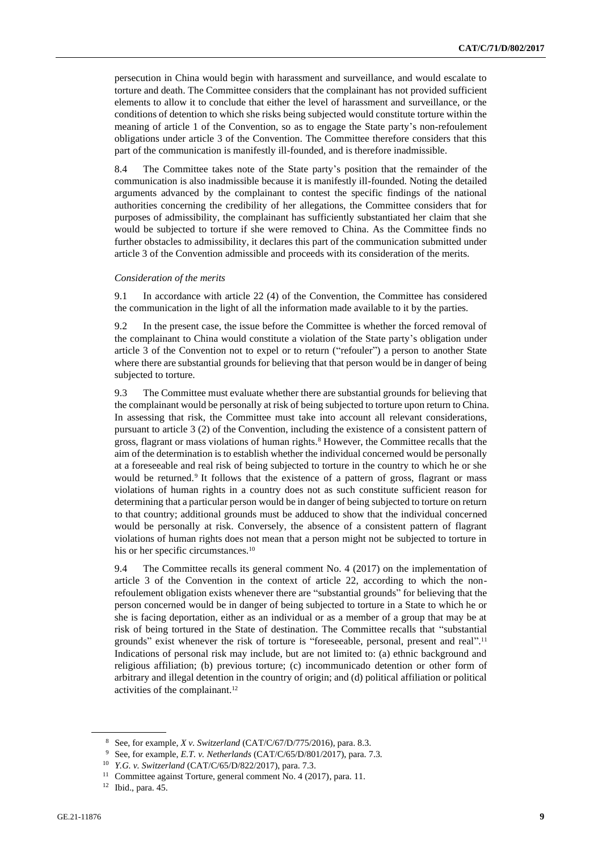persecution in China would begin with harassment and surveillance, and would escalate to torture and death. The Committee considers that the complainant has not provided sufficient elements to allow it to conclude that either the level of harassment and surveillance, or the conditions of detention to which she risks being subjected would constitute torture within the meaning of article 1 of the Convention, so as to engage the State party's non-refoulement obligations under article 3 of the Convention. The Committee therefore considers that this part of the communication is manifestly ill-founded, and is therefore inadmissible.

8.4 The Committee takes note of the State party's position that the remainder of the communication is also inadmissible because it is manifestly ill-founded. Noting the detailed arguments advanced by the complainant to contest the specific findings of the national authorities concerning the credibility of her allegations, the Committee considers that for purposes of admissibility, the complainant has sufficiently substantiated her claim that she would be subjected to torture if she were removed to China. As the Committee finds no further obstacles to admissibility, it declares this part of the communication submitted under article 3 of the Convention admissible and proceeds with its consideration of the merits.

#### *Consideration of the merits*

9.1 In accordance with article 22 (4) of the Convention, the Committee has considered the communication in the light of all the information made available to it by the parties.

9.2 In the present case, the issue before the Committee is whether the forced removal of the complainant to China would constitute a violation of the State party's obligation under article 3 of the Convention not to expel or to return ("refouler") a person to another State where there are substantial grounds for believing that that person would be in danger of being subjected to torture.

9.3 The Committee must evaluate whether there are substantial grounds for believing that the complainant would be personally at risk of being subjected to torture upon return to China. In assessing that risk, the Committee must take into account all relevant considerations, pursuant to article 3 (2) of the Convention, including the existence of a consistent pattern of gross, flagrant or mass violations of human rights.<sup>8</sup> However, the Committee recalls that the aim of the determination is to establish whether the individual concerned would be personally at a foreseeable and real risk of being subjected to torture in the country to which he or she would be returned.<sup>9</sup> It follows that the existence of a pattern of gross, flagrant or mass violations of human rights in a country does not as such constitute sufficient reason for determining that a particular person would be in danger of being subjected to torture on return to that country; additional grounds must be adduced to show that the individual concerned would be personally at risk. Conversely, the absence of a consistent pattern of flagrant violations of human rights does not mean that a person might not be subjected to torture in his or her specific circumstances.<sup>10</sup>

9.4 The Committee recalls its general comment No. 4 (2017) on the implementation of article 3 of the Convention in the context of article 22, according to which the nonrefoulement obligation exists whenever there are "substantial grounds" for believing that the person concerned would be in danger of being subjected to torture in a State to which he or she is facing deportation, either as an individual or as a member of a group that may be at risk of being tortured in the State of destination. The Committee recalls that "substantial grounds" exist whenever the risk of torture is "foreseeable, personal, present and real". 11 Indications of personal risk may include, but are not limited to: (a) ethnic background and religious affiliation; (b) previous torture; (c) incommunicado detention or other form of arbitrary and illegal detention in the country of origin; and (d) political affiliation or political activities of the complainant.<sup>12</sup>

<sup>8</sup> See, for example, *X v. Switzerland* (CAT/C/67/D/775/2016), para. 8.3.

<sup>9</sup> See, for example, *E.T. v. Netherlands* (CAT/C/65/D/801/2017), para. 7.3*.*

<sup>10</sup> *Y.G. v. Switzerland* (CAT/C/65/D/822/2017), para. 7.3.

<sup>&</sup>lt;sup>11</sup> Committee against Torture, general comment No. 4 (2017), para. 11.

 $12$  Ibid., para. 45.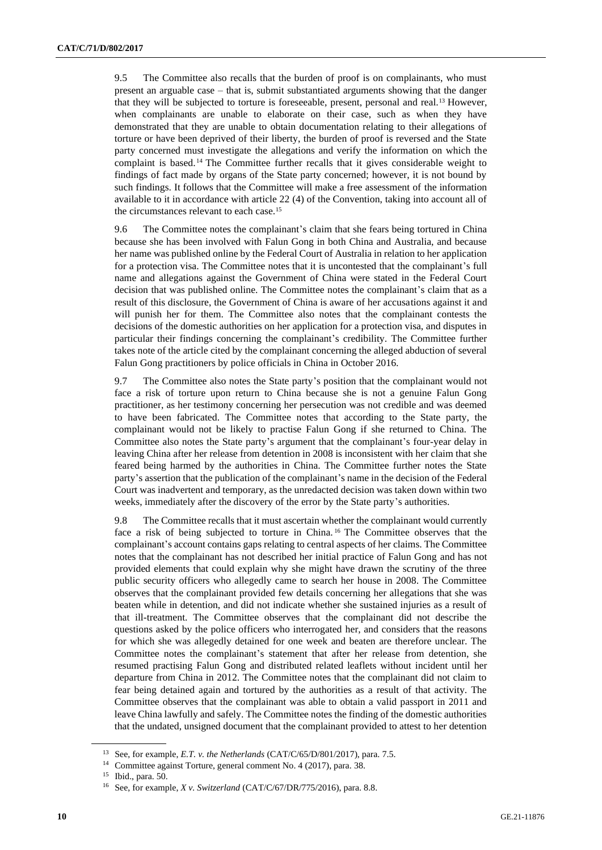9.5 The Committee also recalls that the burden of proof is on complainants, who must present an arguable case – that is, submit substantiated arguments showing that the danger that they will be subjected to torture is foreseeable, present, personal and real.<sup>13</sup> However, when complainants are unable to elaborate on their case, such as when they have demonstrated that they are unable to obtain documentation relating to their allegations of torture or have been deprived of their liberty, the burden of proof is reversed and the State party concerned must investigate the allegations and verify the information on which the complaint is based.<sup>14</sup> The Committee further recalls that it gives considerable weight to findings of fact made by organs of the State party concerned; however, it is not bound by such findings. It follows that the Committee will make a free assessment of the information available to it in accordance with article 22 (4) of the Convention, taking into account all of the circumstances relevant to each case.<sup>15</sup>

9.6 The Committee notes the complainant's claim that she fears being tortured in China because she has been involved with Falun Gong in both China and Australia, and because her name was published online by the Federal Court of Australia in relation to her application for a protection visa. The Committee notes that it is uncontested that the complainant's full name and allegations against the Government of China were stated in the Federal Court decision that was published online. The Committee notes the complainant's claim that as a result of this disclosure, the Government of China is aware of her accusations against it and will punish her for them. The Committee also notes that the complainant contests the decisions of the domestic authorities on her application for a protection visa, and disputes in particular their findings concerning the complainant's credibility. The Committee further takes note of the article cited by the complainant concerning the alleged abduction of several Falun Gong practitioners by police officials in China in October 2016.

9.7 The Committee also notes the State party's position that the complainant would not face a risk of torture upon return to China because she is not a genuine Falun Gong practitioner, as her testimony concerning her persecution was not credible and was deemed to have been fabricated. The Committee notes that according to the State party, the complainant would not be likely to practise Falun Gong if she returned to China. The Committee also notes the State party's argument that the complainant's four-year delay in leaving China after her release from detention in 2008 is inconsistent with her claim that she feared being harmed by the authorities in China. The Committee further notes the State party's assertion that the publication of the complainant's name in the decision of the Federal Court was inadvertent and temporary, as the unredacted decision was taken down within two weeks, immediately after the discovery of the error by the State party's authorities.

9.8 The Committee recalls that it must ascertain whether the complainant would currently face a risk of being subjected to torture in China. <sup>16</sup> The Committee observes that the complainant's account contains gaps relating to central aspects of her claims. The Committee notes that the complainant has not described her initial practice of Falun Gong and has not provided elements that could explain why she might have drawn the scrutiny of the three public security officers who allegedly came to search her house in 2008. The Committee observes that the complainant provided few details concerning her allegations that she was beaten while in detention, and did not indicate whether she sustained injuries as a result of that ill-treatment. The Committee observes that the complainant did not describe the questions asked by the police officers who interrogated her, and considers that the reasons for which she was allegedly detained for one week and beaten are therefore unclear. The Committee notes the complainant's statement that after her release from detention, she resumed practising Falun Gong and distributed related leaflets without incident until her departure from China in 2012. The Committee notes that the complainant did not claim to fear being detained again and tortured by the authorities as a result of that activity. The Committee observes that the complainant was able to obtain a valid passport in 2011 and leave China lawfully and safely. The Committee notes the finding of the domestic authorities that the undated, unsigned document that the complainant provided to attest to her detention

<sup>13</sup> See, for example, *E.T. v. the Netherlands* (CAT/C/65/D/801/2017), para. 7.5.

<sup>&</sup>lt;sup>14</sup> Committee against Torture, general comment No. 4 (2017), para. 38.

<sup>15</sup> Ibid., para. 50.

<sup>16</sup> See, for example, *X v. Switzerland* (CAT/C/67/DR/775/2016), para. 8.8.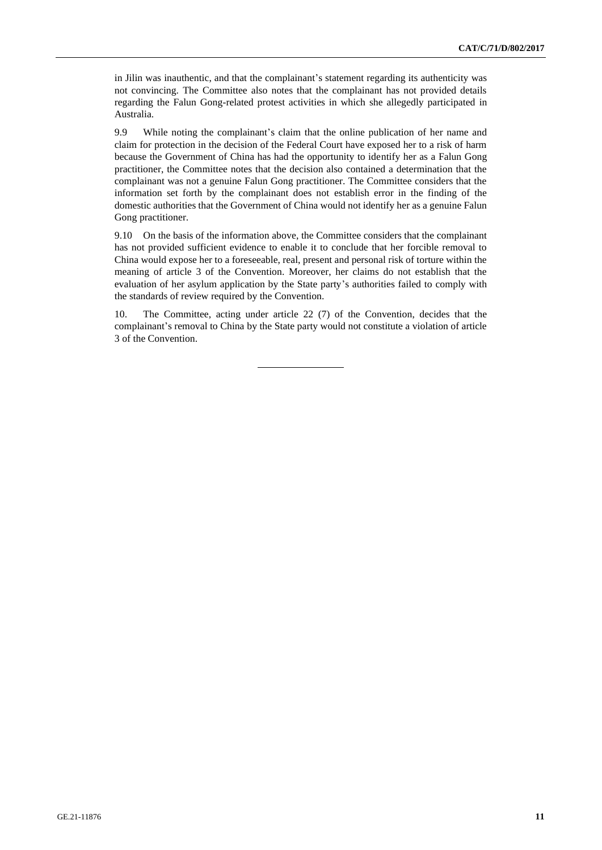in Jilin was inauthentic, and that the complainant's statement regarding its authenticity was not convincing. The Committee also notes that the complainant has not provided details regarding the Falun Gong-related protest activities in which she allegedly participated in Australia.

9.9 While noting the complainant's claim that the online publication of her name and claim for protection in the decision of the Federal Court have exposed her to a risk of harm because the Government of China has had the opportunity to identify her as a Falun Gong practitioner, the Committee notes that the decision also contained a determination that the complainant was not a genuine Falun Gong practitioner. The Committee considers that the information set forth by the complainant does not establish error in the finding of the domestic authorities that the Government of China would not identify her as a genuine Falun Gong practitioner.

9.10 On the basis of the information above, the Committee considers that the complainant has not provided sufficient evidence to enable it to conclude that her forcible removal to China would expose her to a foreseeable, real, present and personal risk of torture within the meaning of article 3 of the Convention. Moreover, her claims do not establish that the evaluation of her asylum application by the State party's authorities failed to comply with the standards of review required by the Convention.

10. The Committee, acting under article 22 (7) of the Convention, decides that the complainant's removal to China by the State party would not constitute a violation of article 3 of the Convention.